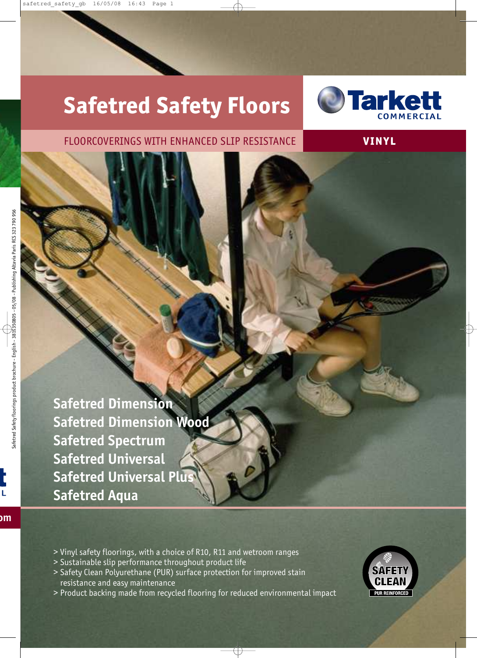# **Safetred Safety Floors**



### FLOORCOVERINGS WITH ENHANCED SLIP RESISTANCE **VI NY L**

**Safetred Dimension Safetred Dimension Wood Safetred Spectrum Safetred Universal Safetred Universal Plus Safetred Aqua**

- > Vinyl safety floorings, with a choice of R10, R11 and wetroom ranges
- > Sustainable slip performance throughout product life
- > Safety Clean Polyurethane (PUR) surface protection for improved stain resistance and easy maintenance
- > Product backing made from recycled flooring for reduced environmental impact

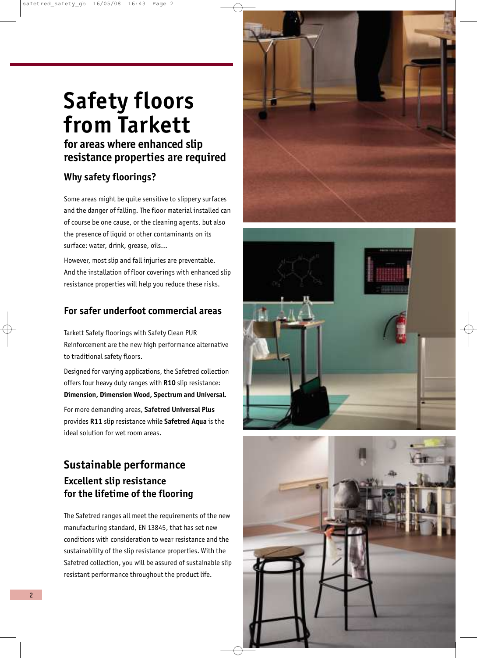### **Safety floors from Tarkett for areas where enhanced slip**

### **resistance properties are required**

### **Why safety floorings?**

Some areas might be quite sensitive to slippery surfaces and the danger of falling. The floor material installed can of course be one cause, or the cleaning agents, but also the presence of liquid or other contaminants on its surface: water, drink, grease, oils…

However, most slip and fall injuries are preventable. And the installation of floor coverings with enhanced slip resistance properties will help you reduce these risks.

### **For safer underfoot commercial areas**

Tarkett Safety floorings with Safety Clean PUR Reinforcement are the new high performance alternative to traditional safety floors.

Designed for varying applications, the Safetred collection offers four heavy duty ranges with **R10** slip resistance: **Dimension, Dimension Wood, Spectrum and Universal**.

For more demanding areas, **Safetred Universal Plus** provides **R11** slip resistance while **Safetred Aqua** is the ideal solution for wet room areas.

### **Sustainable performance Excellent slip resistance for the lifetime of the flooring**

The Safetred ranges all meet the requirements of the new manufacturing standard, EN 13845, that has set new conditions with consideration to wear resistance and the sustainability of the slip resistance properties. With the Safetred collection, you will be assured of sustainable slip resistant performance throughout the product life.





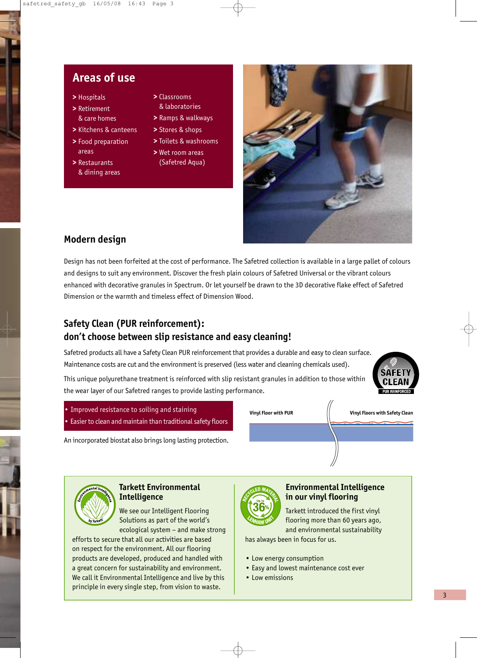### **Areas of use**

- **>** Hospitals
- **>** Retirement & care homes
- **>** Kitchens & canteens
- **>** Food preparation areas
- **>** Restaurants & dining areas
- **>** Classrooms & laboratories
- **>** Ramps & walkways
- **>** Stores & shops
- **>** Toilets & washrooms
- **>** Wet room areas (Safetred Aqua)



### **Modern design**

Design has not been forfeited at the cost of performance. The Safetred collection is available in a large pallet of colours and designs to suit any environment. Discover the fresh plain colours of Safetred Universal or the vibrant colours enhanced with decorative granules in Spectrum. Or let yourself be drawn to the 3D decorative flake effect of Safetred Dimension or the warmth and timeless effect of Dimension Wood.

### **Safety Clean (PUR reinforcement): don't choose between slip resistance and easy cleaning!**

Safetred products all have a Safety Clean PUR reinforcement that provides a durable and easy to clean surface. Maintenance costs are cut and the environment is preserved (less water and cleaning chemicals used).

This unique polyurethane treatment is reinforced with slip resistant granules in addition to those within the wear layer of our Safetred ranges to provide lasting performance.



- Improved resistance to soiling and staining
- Easier to clean and maintain than traditional safety floors

An incorporated biostat also brings long lasting protection.

#### **Vinyl Floor with PUR Vinyl Floors with Safety Clean**



#### **Tarkett Environmental Intelligence**

We see our Intelligent Flooring Solutions as part of the world's ecological system – and make strong

efforts to secure that all our activities are based on respect for the environment. All our flooring products are developed, produced and handled with a great concern for sustainability and environment. We call it Environmental Intelligence and live by this principle in every single step, from vision to waste.



#### **Environmental Intelligence in our vinyl flooring**

Tarkett introduced the first vinyl flooring more than 60 years ago, and environmental sustainability

has always been in focus for us.

- Low energy consumption
- Easy and lowest maintenance cost ever
- Low emissions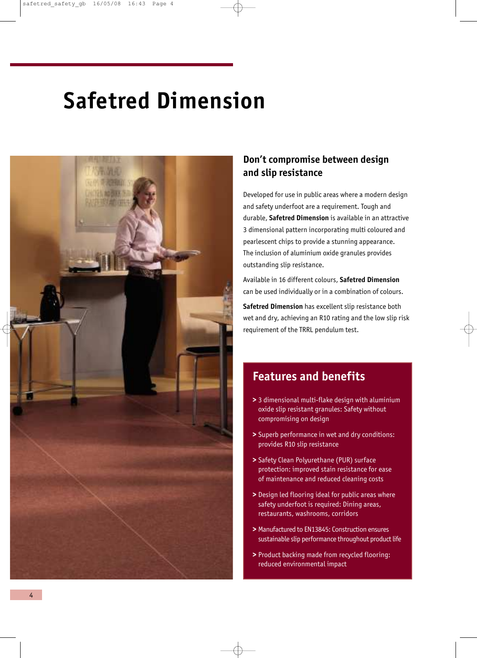# **Safetred Dimension**



### **Don't compromise between design and slip resistance**

Developed for use in public areas where a modern design and safety underfoot are a requirement. Tough and durable, **Safetred Dimension** is available in an attractive 3 dimensional pattern incorporating multi coloured and pearlescent chips to provide a stunning appearance. The inclusion of aluminium oxide granules provides outstanding slip resistance.

Available in 16 different colours, **Safetred Dimension** can be used individually or in a combination of colours.

**Safetred Dimension** has excellent slip resistance both wet and dry, achieving an R10 rating and the low slip risk requirement of the TRRL pendulum test.

### **Features and benefits**

- **>** 3 dimensional multi-flake design with aluminium oxide slip resistant granules: Safety without compromising on design
- **>** Superb performance in wet and dry conditions: provides R10 slip resistance
- **>** Safety Clean Polyurethane (PUR) surface protection: improved stain resistance for ease of maintenance and reduced cleaning costs
- **>** Design led flooring ideal for public areas where safety underfoot is required: Dining areas, restaurants, washrooms, corridors
- **>** Manufactured to EN13845: Construction ensures sustainable slip performance throughout product life
- **>** Product backing made from recycled flooring: reduced environmental impact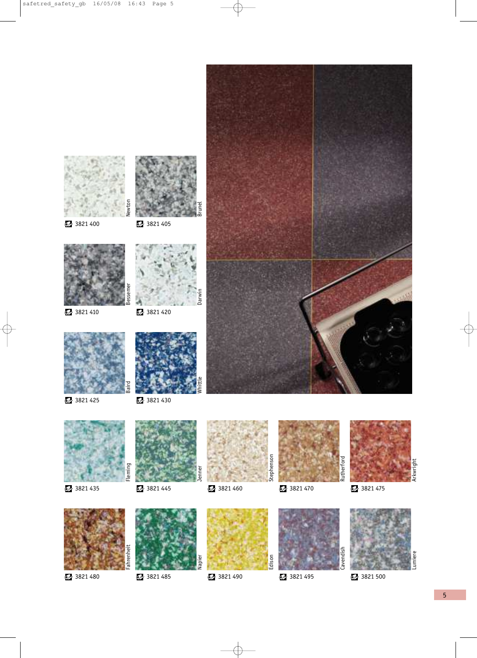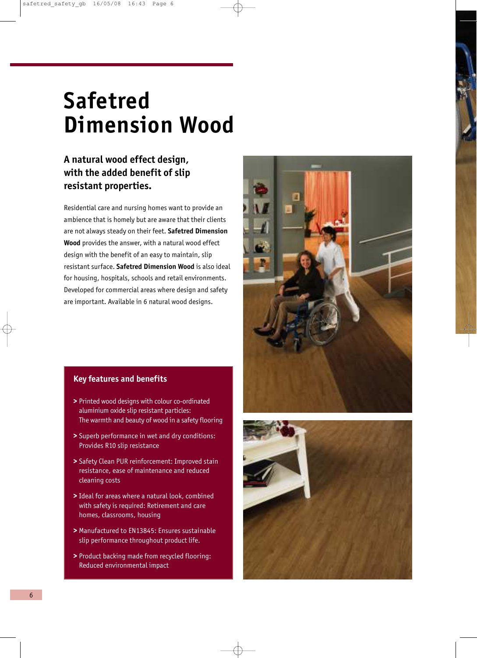# **Safetred Dimension Wood**

### **A natural wood effect design, with the added benefit of slip resistant properties.**

Residential care and nursing homes want to provide an ambience that is homely but are aware that their clients are not always steady on their feet. **Safetred Dimension Wood** provides the answer, with a natural wood effect design with the benefit of an easy to maintain, slip resistant surface. **Safetred Dimension Wood** is also ideal for housing, hospitals, schools and retail environments. Developed for commercial areas where design and safety are important. Available in 6 natural wood designs.



- **>** Printed wood designs with colour co-ordinated aluminium oxide slip resistant particles: The warmth and beauty of wood in a safety flooring
- **>** Superb performance in wet and dry conditions: Provides R10 slip resistance
- **>** Safety Clean PUR reinforcement: Improved stain resistance, ease of maintenance and reduced cleaning costs
- **>** Ideal for areas where a natural look, combined with safety is required: Retirement and care homes, classrooms, housing
- **>** Manufactured to EN13845: Ensures sustainable slip performance throughout product life.
- **>** Product backing made from recycled flooring: Reduced environmental impact



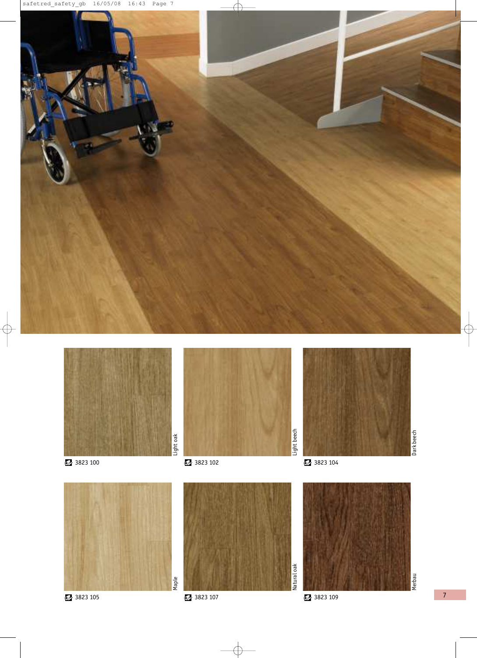



Maple













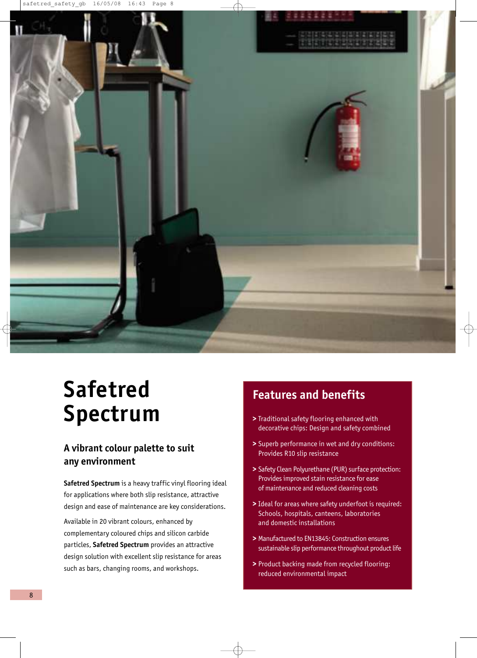

## **Safetred Spectrum**

#### **A vibrant colour palette to suit any environment**

**Safetred Spectrum** is a heavy traffic vinyl flooring ideal for applications where both slip resistance, attractive design and ease of maintenance are key considerations.

Available in 20 vibrant colours, enhanced by complementary coloured chips and silicon carbide particles, **Safetred Spectrum** provides an attractive design solution with excellent slip resistance for areas such as bars, changing rooms, and workshops.

### **Features and benefits**

- **>** Traditional safety flooring enhanced with decorative chips: Design and safety combined
- **>** Superb performance in wet and dry conditions: Provides R10 slip resistance
- **>** Safety Clean Polyurethane (PUR) surface protection: Provides improved stain resistance for ease of maintenance and reduced cleaning costs
- **>** Ideal for areas where safety underfoot is required: Schools, hospitals, canteens, laboratories and domestic installations
- **>** Manufactured to EN13845: Construction ensures sustainable slip performance throughout product life
- **>** Product backing made from recycled flooring: reduced environmental impact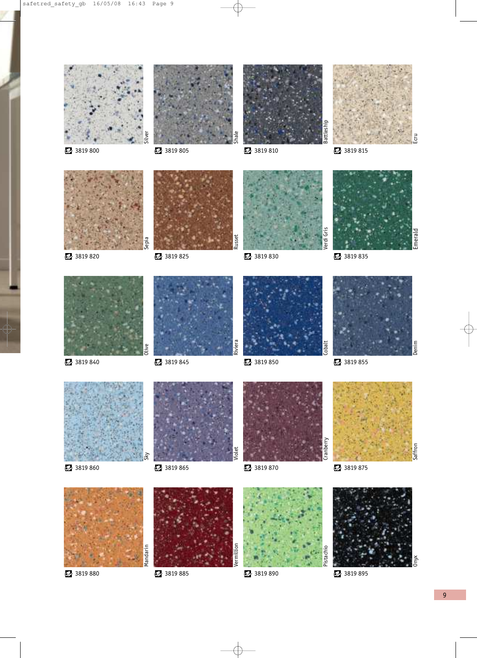









3819 820 3819 825 3819 825 3819 830 3819 820 3819 835













**3819 840** 3819 845 3819 850 3819 840 3819 855

Cobalt

Cranberry

Pistach



**3819 860** 3819 865 3819 870 3819 860 3819 875









Vermillion



Saffron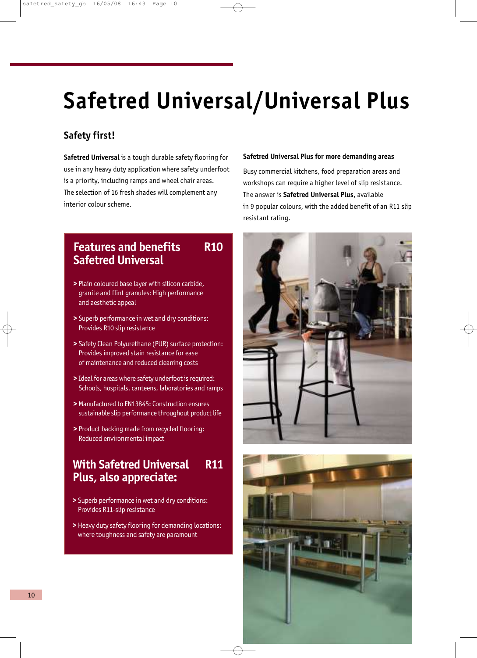# **Safetred Universal/Universal Plus**

### **Safety first!**

**Safetred Universal** is a tough durable safety flooring for use in any heavy duty application where safety underfoot is a priority, including ramps and wheel chair areas. The selection of 16 fresh shades will complement any interior colour scheme.

#### **Safetred Universal Plus for more demanding areas**

Busy commercial kitchens, food preparation areas and workshops can require a higher level of slip resistance. The answer is **Safetred Universal Plus,** available in 9 popular colours, with the added benefit of an R11 slip resistant rating.

### **Features and benefits R10 Safetred Universal**

- **>** Plain coloured base layer with silicon carbide, granite and flint granules: High performance and aesthetic appeal
- **>** Superb performance in wet and dry conditions: Provides R10 slip resistance
- **>** Safety Clean Polyurethane (PUR) surface protection: Provides improved stain resistance for ease of maintenance and reduced cleaning costs
- **>** Ideal for areas where safety underfoot is required: Schools, hospitals, canteens, laboratories and ramps
- **>** Manufactured to EN13845: Construction ensures sustainable slip performance throughout product life
- **>** Product backing made from recycled flooring: Reduced environmental impact

### **With Safetred Universal R11 Plus, also appreciate:**

- **>** Superb performance in wet and dry conditions: Provides R11-slip resistance
- **>** Heavy duty safety flooring for demanding locations: where toughness and safety are paramount



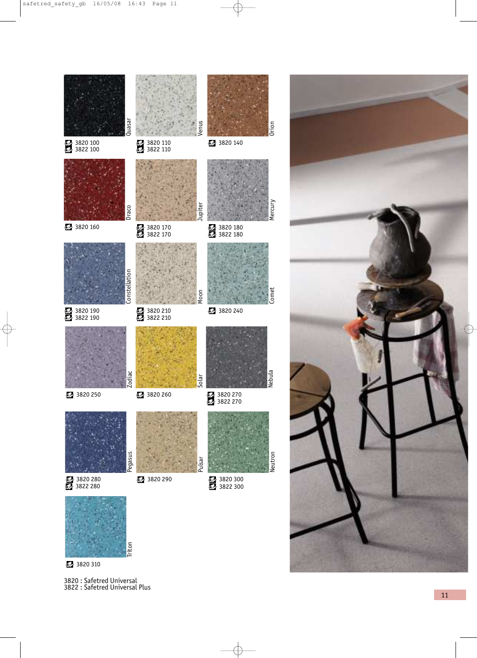



3820 310

3820 : Safetred Universal 3822 : Safetred Universal Plus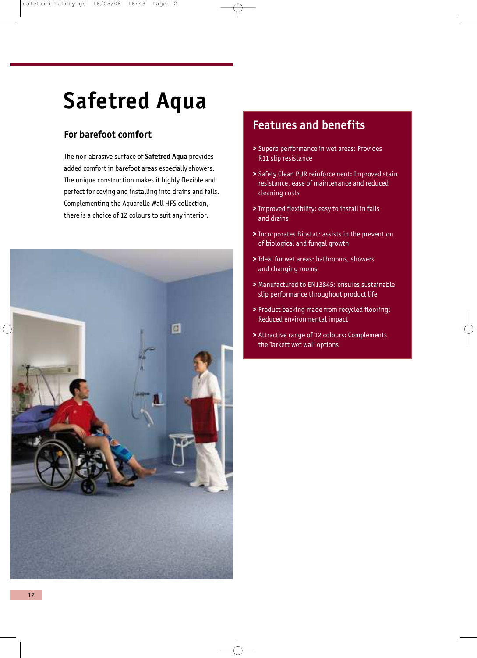# **Safetred Aqua**

### **For barefoot comfort**

The non abrasive surface of **Safetred Aqua** provides added comfort in barefoot areas especially showers. The unique construction makes it highly flexible and perfect for coving and installing into drains and falls. Complementing the Aquarelle Wall HFS collection, there is a choice of 12 colours to suit any interior.



### **Features and benefits**

- **>** Superb performance in wet areas: Provides R11 slip resistance
- **>** Safety Clean PUR reinforcement: Improved stain resistance, ease of maintenance and reduced cleaning costs
- **>** Improved flexibility: easy to install in falls and drains
- **>** Incorporates Biostat: assists in the prevention of biological and fungal growth
- **>** Ideal for wet areas: bathrooms, showers and changing rooms
- **>** Manufactured to EN13845: ensures sustainable slip performance throughout product life
- **>** Product backing made from recycled flooring: Reduced environmental impact
- **>** Attractive range of 12 colours: Complements the Tarkett wet wall options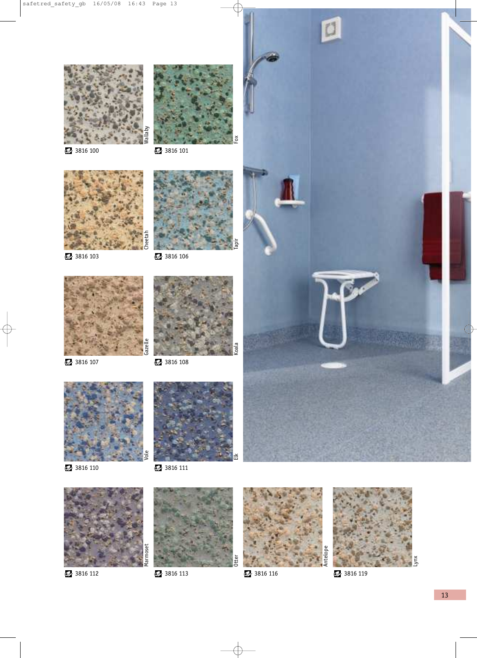

3816 100 3816 101

Fox

Koala











3816 107 3816 108





3816 110 3816 111



3816 112 3816 113 3816 116 3816 116 3816 117







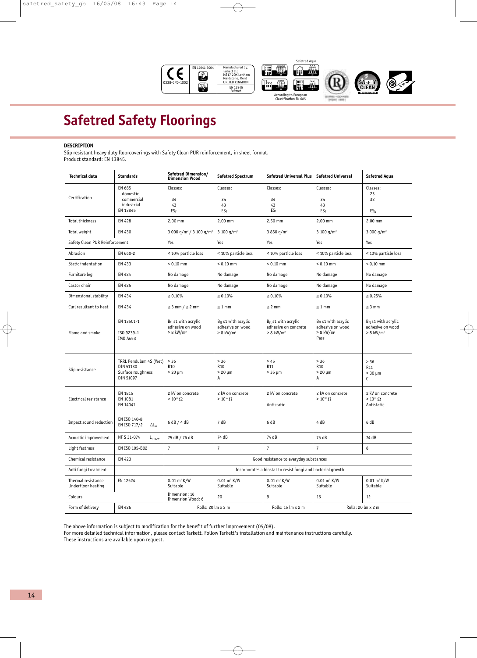

### **Safetred Safety Floorings**

#### **DESCRIPTION**

Slip resistant heavy duty floorcoverings with Safety Clean PUR reinforcement, in sheet format. Product standard: EN 13845.

| <b>Technical data</b>                    | <b>Standards</b>                                                      | Safetred Dimension/<br><b>Dimension Wood</b>                            | <b>Safetred Spectrum</b>                                                | <b>Safetred Universal Plus</b>                                              | <b>Safetred Universal</b>                                                       | <b>Safetred Aqua</b>                                                    |
|------------------------------------------|-----------------------------------------------------------------------|-------------------------------------------------------------------------|-------------------------------------------------------------------------|-----------------------------------------------------------------------------|---------------------------------------------------------------------------------|-------------------------------------------------------------------------|
| Certification                            | EN 685<br>domestic<br>commercial<br>industrial<br>EN 13845            | Classes:<br>34<br>43<br>$ES_f$                                          | Classes:<br>34<br>43<br>ES <sub>f</sub>                                 | Classes:<br>34<br>43<br>$ES_f$                                              | Classes:<br>34<br>43<br>ESf                                                     | Classes:<br>23<br>32<br>ES <sub>h</sub>                                 |
| <b>Total thickness</b>                   | <b>EN 428</b>                                                         | 2.00 mm                                                                 | $2.00$ mm                                                               | 2.50 mm                                                                     | 2.00 mm                                                                         | $2.00$ mm                                                               |
| Total weight                             | EN 430                                                                | 3 000 g/m <sup>2</sup> / 3 100 g/m <sup>2</sup>                         | 3 100 $q/m^2$                                                           | 3 850 g/m <sup>2</sup>                                                      | 3 100 $q/m^2$                                                                   | 3 000 $g/m^2$                                                           |
| Safety Clean PUR Reinforcement           |                                                                       | Yes                                                                     | Yes                                                                     | Yes                                                                         | Yes                                                                             | Yes                                                                     |
| Abrasion                                 | EN 660-2                                                              | < 10% particle loss                                                     | < 10% particle loss                                                     | < 10% particle loss                                                         | < 10% particle loss                                                             | < 10% particle loss                                                     |
| Static indentation                       | EN 433                                                                | $< 0.10$ mm                                                             | $< 0.10$ mm                                                             | $< 0.10$ mm                                                                 | $< 0.10$ mm                                                                     | $< 0.10$ mm                                                             |
| Furniture leg                            | EN 424                                                                | No damage                                                               | No damage                                                               | No damage                                                                   | No damage                                                                       | No damage                                                               |
| Castor chair                             | EN 425                                                                | No damage                                                               | No damage                                                               | No damage                                                                   | No damage                                                                       | No damage                                                               |
| Dimensional stability                    | EN 434                                                                | $\leq 0.10\%$                                                           | $\leq 0.10\%$                                                           | $\leq 0.10\%$                                                               | $\leq 0.10\%$                                                                   | $\leq 0.25\%$                                                           |
| Curl resultant to heat                   | EN 434                                                                | $\leq$ 3 mm / $\leq$ 2 mm                                               | $\leq 1$ mm                                                             | $\leq$ 2 mm                                                                 | $\leq 1$ mm                                                                     | $\leq$ 3 mm                                                             |
| Flame and smoke                          | EN 13501-1<br>ISO 9239-1<br>IMO A653                                  | $B_{fl}$ s1 with acrylic<br>adhesive on wood<br>$> 8$ kW/m <sup>2</sup> | $B_{fl}$ s1 with acrylic<br>adhesive on wood<br>$> 8$ kW/m <sup>2</sup> | $B_{fl}$ s1 with acrylic<br>adhesive on concrete<br>$> 8$ kW/m <sup>2</sup> | $B_{fl}$ s1 with acrylic<br>adhesive on wood<br>$> 8$ kW/m <sup>2</sup><br>Pass | $B_{fl}$ s1 with acrylic<br>adhesive on wood<br>$> 8$ kW/m <sup>2</sup> |
| Slip resistance                          | TRRL Pendulum 4S (Wet)<br>DIN 51130<br>Surface roughness<br>DIN 51097 | $> 36$<br>R <sub>10</sub><br>$>20 \mu m$                                | $> 36$<br>R <sub>10</sub><br>$> 20 \mu m$<br>Α                          | > 45<br>R <sub>11</sub><br>$> 35 \mu m$                                     | > 36<br><b>R10</b><br>$>20 \mu m$<br>Α                                          | $> 36$<br>R <sub>11</sub><br>$> 30 \mu m$<br>C                          |
| Electrical resistance                    | EN 1815<br>EN 1081<br>EN 14041                                        | 2 kV on concrete<br>$>10^{10}$ $\Omega$                                 | 2 kV on concrete<br>$>10^{10}\,\Omega$                                  | 2 kV on concrete<br>Antistatic                                              | 2 kV on concrete<br>$>10^{10}\,\Omega$                                          | 2 kV on concrete<br>$>10^{10}~\Omega$<br>Antistatic                     |
| Impact sound reduction                   | EN ISO 140-8<br>EN ISO 717/2<br>$\Delta L_W$                          | 6 dB / 4 dB                                                             | 7 dB                                                                    | 6 dB                                                                        | 4 dB                                                                            | 6 dB                                                                    |
| Acoustic improvement                     | NF S 31-074<br>$L_{n,e,w}$                                            | 75 dB / 76 dB                                                           | 74 dB                                                                   | 74 dB                                                                       | 75 dB                                                                           | 74 dB                                                                   |
| Light fastness                           | EN ISO 105-B02                                                        | $\overline{7}$                                                          | $\overline{7}$                                                          | $\overline{7}$                                                              | $\overline{7}$                                                                  | 6                                                                       |
| Chemical resistance                      | EN 423                                                                | Good resistance to everyday substances                                  |                                                                         |                                                                             |                                                                                 |                                                                         |
| Anti fungi treatment                     |                                                                       | Incorporates a biostat to resist fungi and bacterial growth             |                                                                         |                                                                             |                                                                                 |                                                                         |
| Thermal resistance<br>Underfloor heating | EN 12524                                                              | $0.01$ m <sup>2</sup> K/W<br>Suitable                                   | $0.01 \text{ m}^2 \text{ K/W}$<br>Suitable                              | $0.01 \text{ m}^2 \text{ K/W}$<br>Suitable                                  | $0.01$ m <sup>2</sup> K/W<br>Suitable                                           | $0.01 \text{ m}^2 \text{ K/W}$<br>Suitable                              |
| Colours                                  |                                                                       | Dimension: 16<br>Dimension Wood: 6                                      | 20                                                                      | 9                                                                           | 16                                                                              | 12                                                                      |
| Form of delivery                         | <b>EN 426</b>                                                         | Rolls: 20 lm x 2 m                                                      |                                                                         | Rolls: 15 lm x 2 m                                                          | Rolls: 20 lm x 2 m                                                              |                                                                         |

The above information is subject to modification for the benefit of further improvement (05/08).

For more detailed technical information, please contact Tarkett. Follow Tarkett's installation and maintenance instructions carefully. These instructions are available upon request.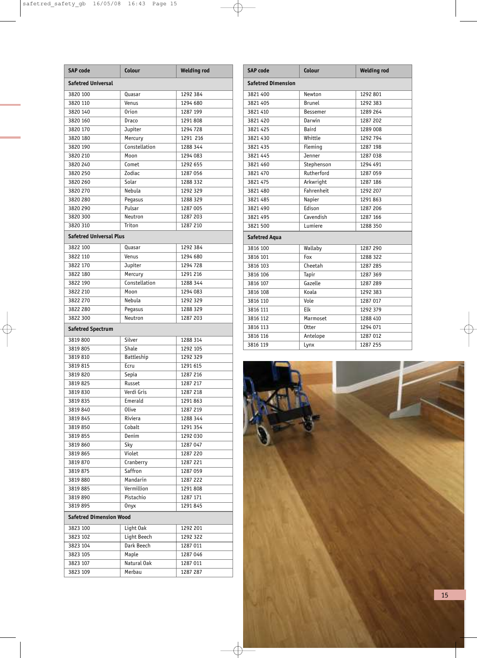| <b>SAP</b> code                | Colour        | <b>Welding rod</b> |  |  |  |  |  |
|--------------------------------|---------------|--------------------|--|--|--|--|--|
| <b>Safetred Universal</b>      |               |                    |  |  |  |  |  |
| 3820 100                       | Quasar        | 1292 384           |  |  |  |  |  |
| 3820 110                       | Venus         | 1294 680           |  |  |  |  |  |
| 3820 140                       | <b>Orion</b>  | 1287 199           |  |  |  |  |  |
| 3820 160                       | Draco         | 1291 808           |  |  |  |  |  |
| 3820 170                       | Jupiter       | 1294 728           |  |  |  |  |  |
| 3820 180                       | Mercury       | 1291 216           |  |  |  |  |  |
| 3820 190                       | Constellation | 1288 344           |  |  |  |  |  |
| 3820 210                       | Moon          | 1294 083           |  |  |  |  |  |
| 3820 240                       | Comet         | 1292 655           |  |  |  |  |  |
| 3820 250                       | Zodiac        | 1287 056           |  |  |  |  |  |
| 3820 260                       | Solar         | 1288 332           |  |  |  |  |  |
| 3820 270                       | Nebula        | 1292 329           |  |  |  |  |  |
| 3820 280                       | Pegasus       | 1288 329           |  |  |  |  |  |
| 3820 290                       | Pulsar        | 1287 005           |  |  |  |  |  |
| 3820 300                       | Neutron       | 1287 203           |  |  |  |  |  |
| 3820 310                       | Triton        | 1287 210           |  |  |  |  |  |
| <b>Safetred Universal Plus</b> |               |                    |  |  |  |  |  |
| 3822 100                       | Quasar        | 1292 384           |  |  |  |  |  |
| 3822 110                       | Venus         | 1294 680           |  |  |  |  |  |
| 3822 170                       | Jupiter       | 1294 728           |  |  |  |  |  |
| 3822 180                       | Mercury       | 1291 216           |  |  |  |  |  |
| 3822 190                       | Constellation | 1288 344           |  |  |  |  |  |
| 3822 210                       | Moon          | 1294 083           |  |  |  |  |  |
| 3822 270                       | Nebula        | 1292 329           |  |  |  |  |  |
| 3822 280                       | Pegasus       | 1288 329           |  |  |  |  |  |
| 3822 300                       | Neutron       | 1287 203           |  |  |  |  |  |
| <b>Safetred Spectrum</b>       |               |                    |  |  |  |  |  |
| 3819800                        | Silver        | 1288 314           |  |  |  |  |  |
| 3819805                        | Shale         | 1292 105           |  |  |  |  |  |
| 3819810                        | Battleship    | 1292 329           |  |  |  |  |  |
| 3819815                        | Ecru          | 1291 615           |  |  |  |  |  |
| 3819820                        | Sepia         | 1287 216           |  |  |  |  |  |
| 3819825                        | Russet        | 1287 217           |  |  |  |  |  |
| 3819830                        | Verdi Gris    | 1287 218           |  |  |  |  |  |
| 3819835                        | Emerald       | 1291 863           |  |  |  |  |  |
| 3819840                        | <b>Olive</b>  | 1287 219           |  |  |  |  |  |
| 3819 845                       | Riviera       | 1288 344           |  |  |  |  |  |
| 3819850                        | Cobalt        | 1291 354           |  |  |  |  |  |
| 3819 855                       | Denim         | 1292 030           |  |  |  |  |  |
| 3819860                        | Sky           | 1287 047           |  |  |  |  |  |
| 3819 865                       | Violet        | 1287 220           |  |  |  |  |  |
| 3819870                        | Cranberry     | 1287 221           |  |  |  |  |  |
| 3819 875                       | Saffron       | 1287 059           |  |  |  |  |  |
| 3819880                        | Mandarin      | 1287 222           |  |  |  |  |  |
| 3819885                        | Vermillion    | 1291 808           |  |  |  |  |  |
| 3819890                        | Pistachio     | 1287 171           |  |  |  |  |  |
| 3819895                        | <b>Onyx</b>   | 1291 845           |  |  |  |  |  |
| <b>Safetred Dimension Wood</b> |               |                    |  |  |  |  |  |
| 3823 100                       | Light Oak     | 1292 201           |  |  |  |  |  |
| 3823 102                       | Light Beech   | 1292 322           |  |  |  |  |  |
| 3823 104                       | Dark Beech    | 1287 011           |  |  |  |  |  |
| 3823 105                       | Maple         | 1287 046           |  |  |  |  |  |
| 3823 107                       | Natural Oak   | 1287 011           |  |  |  |  |  |
| 3823 109                       | Merbau        | 1287 287           |  |  |  |  |  |
|                                |               |                    |  |  |  |  |  |

| <b>SAP code</b>           | Colour          | <b>Welding rod</b> |  |  |  |  |
|---------------------------|-----------------|--------------------|--|--|--|--|
| <b>Safetred Dimension</b> |                 |                    |  |  |  |  |
| 3821 400                  | Newton          | 1292 801           |  |  |  |  |
| 3821 405                  | <b>Brunel</b>   | 1292 383           |  |  |  |  |
| 3821 410                  | <b>Bessemer</b> | 1289 264           |  |  |  |  |
| 3821 420                  | Darwin          | 1287 202           |  |  |  |  |
| 3821 425                  | Baird           | 1289 008           |  |  |  |  |
| 3821 430                  | Whittle         | 1292 794           |  |  |  |  |
| 3821 435                  | Fleming         | 1287 198           |  |  |  |  |
| 3821 445                  | Jenner          | 1287 038           |  |  |  |  |
| 3821 460                  | Stephenson      | 1294 491           |  |  |  |  |
| 3821 470                  | Rutherford      | 1287 059           |  |  |  |  |
| 3821 475                  | Arkwright       | 1287 186           |  |  |  |  |
| 3821 480                  | Fahrenheit      | 1292 207           |  |  |  |  |
| 3821 485                  | Napier          | 1291 863           |  |  |  |  |
| 3821 490                  | Edison          | 1287 206           |  |  |  |  |
| 3821 495                  | Cavendish       | 1287 166           |  |  |  |  |
| 3821 500                  | Lumiere         | 1288 350           |  |  |  |  |
| <b>Safetred Aqua</b>      |                 |                    |  |  |  |  |
| 3816 100                  | Wallaby         | 1287 290           |  |  |  |  |
| 3816 101                  | Fox             | 1288 322           |  |  |  |  |
| 3816 103                  | Cheetah         | 1287 285           |  |  |  |  |
| 3816 106                  | Tapir           | 1287 369           |  |  |  |  |
| 3816 107                  | Gazelle         | 1287 289           |  |  |  |  |
| 3816 108                  | Koala           | 1292 383           |  |  |  |  |
| 3816 110                  | Vole            | 1287 017           |  |  |  |  |
| 3816 111                  | Elk             | 1292 379           |  |  |  |  |
| 3816 112                  | Marmoset        | 1288 410           |  |  |  |  |
| 3816 113                  | 0tter           | 1294 071           |  |  |  |  |
| 3816 116                  | Antelope        | 1287 012           |  |  |  |  |
| 3816 119                  | Lynx            | 1287 255           |  |  |  |  |